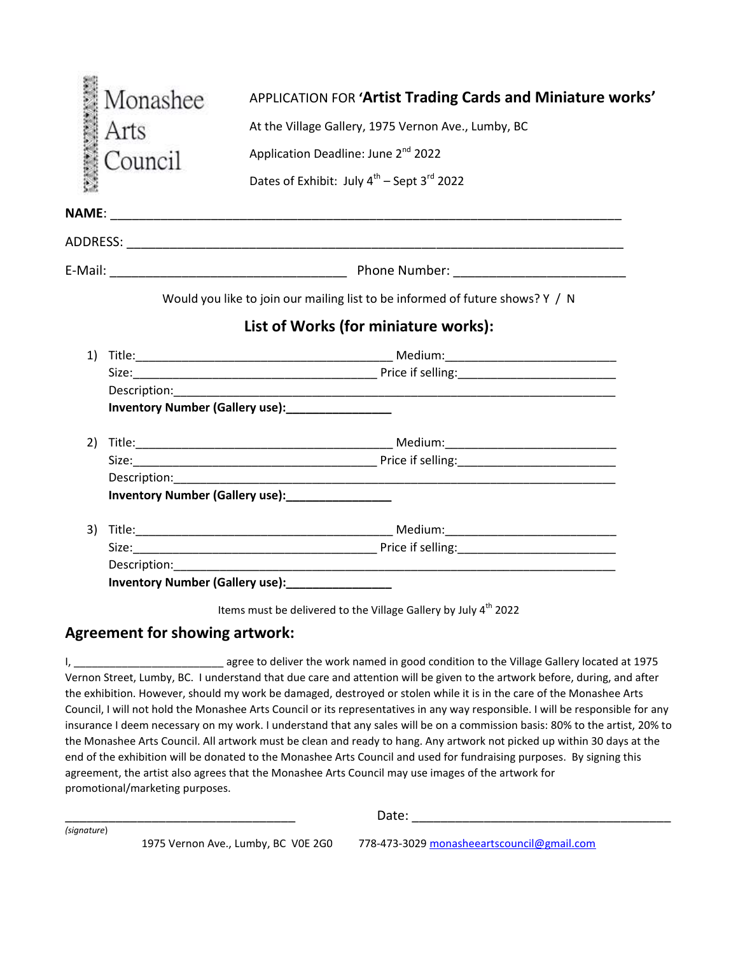|    | Monashee | APPLICATION FOR 'Artist Trading Cards and Miniature works'                                                                                                                                                                          |  |
|----|----------|-------------------------------------------------------------------------------------------------------------------------------------------------------------------------------------------------------------------------------------|--|
|    | Arts     | At the Village Gallery, 1975 Vernon Ave., Lumby, BC                                                                                                                                                                                 |  |
|    | Council  | Application Deadline: June 2 <sup>nd</sup> 2022                                                                                                                                                                                     |  |
|    |          | Dates of Exhibit: July 4 <sup>th</sup> - Sept 3 <sup>rd</sup> 2022                                                                                                                                                                  |  |
|    |          |                                                                                                                                                                                                                                     |  |
|    |          |                                                                                                                                                                                                                                     |  |
|    |          |                                                                                                                                                                                                                                     |  |
|    |          | Would you like to join our mailing list to be informed of future shows? Y / N                                                                                                                                                       |  |
|    |          | List of Works (for miniature works):                                                                                                                                                                                                |  |
| 1) |          |                                                                                                                                                                                                                                     |  |
|    |          |                                                                                                                                                                                                                                     |  |
|    |          |                                                                                                                                                                                                                                     |  |
|    |          | <b>Inventory Number (Gallery use):</b> Manuscription of the Muslim of the Muslim of the Muslim of the Muslim of the Mu                                                                                                              |  |
|    |          |                                                                                                                                                                                                                                     |  |
|    |          |                                                                                                                                                                                                                                     |  |
|    |          |                                                                                                                                                                                                                                     |  |
|    |          |                                                                                                                                                                                                                                     |  |
| 3) |          |                                                                                                                                                                                                                                     |  |
|    |          |                                                                                                                                                                                                                                     |  |
|    |          |                                                                                                                                                                                                                                     |  |
|    |          | <b>Inventory Number (Gallery use):</b> Manuscription of the Muslim Control of the Muslim Control of the Muslim Control of the Muslim Control of the Muslim Control of the Muslim Control of the Muslim Control of the Muslim Contro |  |

Items must be delivered to the Village Gallery by July 4<sup>th</sup> 2022

## **Agreement for showing artwork:**

I, \_\_\_\_\_\_\_\_\_\_\_\_\_\_\_\_\_\_\_\_\_\_\_\_\_\_\_\_\_\_\_\_\_ agree to deliver the work named in good condition to the Village Gallery located at 1975 Vernon Street, Lumby, BC. I understand that due care and attention will be given to the artwork before, during, and after the exhibition. However, should my work be damaged, destroyed or stolen while it is in the care of the Monashee Arts Council, I will not hold the Monashee Arts Council or its representatives in any way responsible. I will be responsible for any insurance I deem necessary on my work. I understand that any sales will be on a commission basis: 80% to the artist, 20% to the Monashee Arts Council. All artwork must be clean and ready to hang. Any artwork not picked up within 30 days at the end of the exhibition will be donated to the Monashee Arts Council and used for fundraising purposes. By signing this agreement, the artist also agrees that the Monashee Arts Council may use images of the artwork for promotional/marketing purposes.

*(signature*)

\_\_\_\_\_\_\_\_\_\_\_\_\_\_\_\_\_\_\_\_\_\_\_\_\_\_\_\_\_\_\_\_ Date: \_\_\_\_\_\_\_\_\_\_\_\_\_\_\_\_\_\_\_\_\_\_\_\_\_\_\_\_\_\_\_\_\_\_\_\_

1975 Vernon Ave., Lumby, BC V0E 2G0 778-473-302[9 monasheeartscouncil@gmail.com](mailto:monasheeartscouncil@gmail.com)